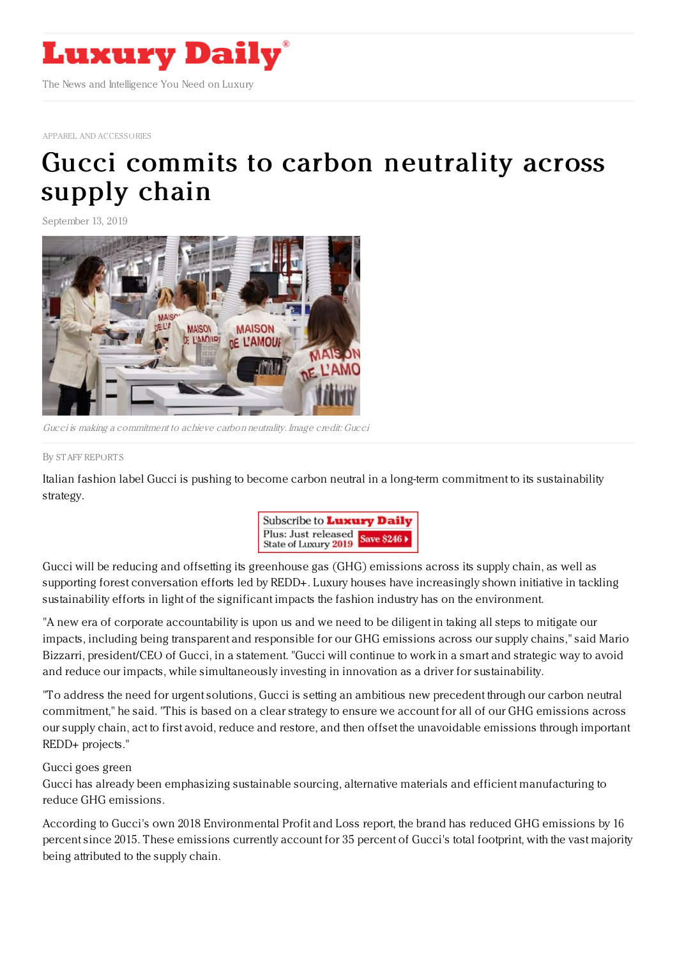

APPAREL AND [ACCESSORIES](https://www.luxurydaily.com/category/sectors/apparel-and-accessories/)

## Gucci commits to carbon [neutrality](https://www.luxurydaily.com/gucci-commits-to-carbon-neutrality-across-supply-chain/) across supply chain

September 13, 2019



Gucci is making <sup>a</sup> commitment to achieve carbon neutrality. Image credit: Gucci

## By STAFF [REPORT](file:///author/staff-reports) S

Italian fashion label Gucci is pushing to become carbon neutral in a long-term commitment to its sustainability strategy.



Gucci will be reducing and offsetting its greenhouse gas (GHG) emissions across its supply chain, as well as supporting forest conversation efforts led by REDD+. Luxury houses have increasingly shown initiative in tackling sustainability efforts in light of the significant impacts the fashion industry has on the environment.

"A new era of corporate accountability is upon us and we need to be diligent in taking all steps to mitigate our impacts, including being transparent and responsible for our GHG emissions across our supply chains," said Mario Bizzarri, president/CEO of Gucci, in a statement. "Gucci will continue to work in a smart and strategic way to avoid and reduce our impacts, while simultaneously investing in innovation as a driver for sustainability.

"To address the need for urgent solutions, Gucci is setting an ambitious new precedent through our carbon neutral commitment," he said. "This is based on a clear strategy to ensure we account for all of our GHG emissions across our supply chain, act to first avoid, reduce and restore, and then offset the unavoidable emissions through important REDD+ projects."

## Gucci goes green

Gucci has already been emphasizing sustainable sourcing, alternative materials and efficient manufacturing to reduce GHG emissions.

According to Gucci's own 2018 Environmental Profit and Loss report, the brand has reduced GHG emissions by 16 percent since 2015. These emissions currently account for 35 percent of Gucci's total footprint, with the vast majority being attributed to the supply chain.